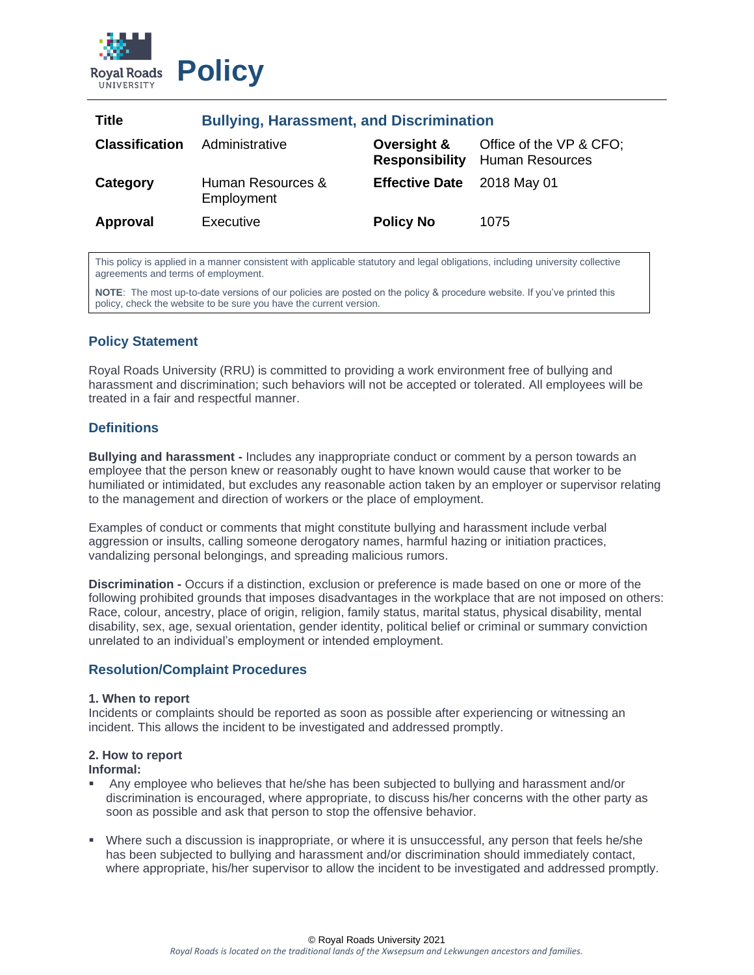

| Title                 | <b>Bullying, Harassment, and Discrimination</b> |                                      |                                                   |
|-----------------------|-------------------------------------------------|--------------------------------------|---------------------------------------------------|
| <b>Classification</b> | Administrative                                  | Oversight &<br><b>Responsibility</b> | Office of the VP & CFO;<br><b>Human Resources</b> |
| Category              | Human Resources &<br>Employment                 | Effective Date 2018 May 01           |                                                   |
| Approval              | Executive                                       | <b>Policy No</b>                     | 1075                                              |

This policy is applied in a manner consistent with applicable statutory and legal obligations, including university collective agreements and terms of employment.

**NOTE**: The most up-to-date versions of our policies are posted on the policy & procedure website. If you've printed this policy, check the website to be sure you have the current version.

# **Policy Statement**

Royal Roads University (RRU) is committed to providing a work environment free of bullying and harassment and discrimination; such behaviors will not be accepted or tolerated. All employees will be treated in a fair and respectful manner.

# **Definitions**

**Bullying and harassment -** Includes any inappropriate conduct or comment by a person towards an employee that the person knew or reasonably ought to have known would cause that worker to be humiliated or intimidated, but excludes any reasonable action taken by an employer or supervisor relating to the management and direction of workers or the place of employment.

Examples of conduct or comments that might constitute bullying and harassment include verbal aggression or insults, calling someone derogatory names, harmful hazing or initiation practices, vandalizing personal belongings, and spreading malicious rumors.

**Discrimination -** Occurs if a distinction, exclusion or preference is made based on one or more of the following prohibited grounds that imposes disadvantages in the workplace that are not imposed on others: Race, colour, ancestry, place of origin, religion, family status, marital status, physical disability, mental disability, sex, age, sexual orientation, gender identity, political belief or criminal or summary conviction unrelated to an individual's employment or intended employment.

# **Resolution/Complaint Procedures**

#### **1. When to report**

Incidents or complaints should be reported as soon as possible after experiencing or witnessing an incident. This allows the incident to be investigated and addressed promptly.

### **2. How to report**

#### **Informal:**

- Any employee who believes that he/she has been subjected to bullying and harassment and/or discrimination is encouraged, where appropriate, to discuss his/her concerns with the other party as soon as possible and ask that person to stop the offensive behavior.
- Where such a discussion is inappropriate, or where it is unsuccessful, any person that feels he/she has been subjected to bullying and harassment and/or discrimination should immediately contact, where appropriate, his/her supervisor to allow the incident to be investigated and addressed promptly.